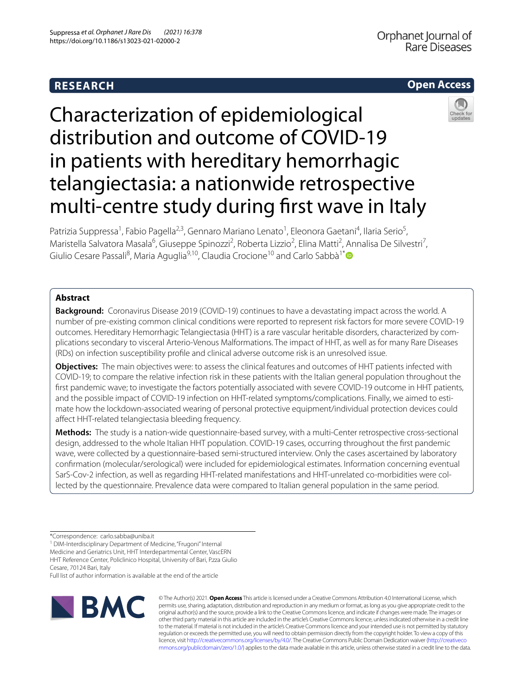## **RESEARCH**



# Characterization of epidemiological distribution and outcome of COVID-19 in patients with hereditary hemorrhagic telangiectasia: a nationwide retrospective multi-centre study during frst wave in Italy



Patrizia Suppressa<sup>1</sup>, Fabio Pagella<sup>2,3</sup>, Gennaro Mariano Lenato<sup>1</sup>, Eleonora Gaetani<sup>4</sup>, Ilaria Serio<sup>5</sup>, Maristella Salvatora Masala<sup>6</sup>, Giuseppe Spinozzi<sup>2</sup>, Roberta Lizzio<sup>2</sup>, Elina Matti<sup>2</sup>, Annalisa De Silvestri<sup>7</sup>, Giulio Cesare Passali<sup>8</sup>, Maria Aguglia<sup>9,10</sup>, Claudia Crocione<sup>10</sup> and Carlo Sabbà<sup>1[\\*](http://orcid.org/0000-0002-4631-0173)</sup>

## **Abstract**

**Background:** Coronavirus Disease 2019 (COVID-19) continues to have a devastating impact across the world. A number of pre-existing common clinical conditions were reported to represent risk factors for more severe COVID-19 outcomes. Hereditary Hemorrhagic Telangiectasia (HHT) is a rare vascular heritable disorders, characterized by complications secondary to visceral Arterio-Venous Malformations. The impact of HHT, as well as for many Rare Diseases (RDs) on infection susceptibility profle and clinical adverse outcome risk is an unresolved issue.

**Objectives:** The main objectives were: to assess the clinical features and outcomes of HHT patients infected with COVID-19; to compare the relative infection risk in these patients with the Italian general population throughout the first pandemic wave; to investigate the factors potentially associated with severe COVID-19 outcome in HHT patients, and the possible impact of COVID-19 infection on HHT-related symptoms/complications. Finally, we aimed to estimate how the lockdown-associated wearing of personal protective equipment/individual protection devices could afect HHT-related telangiectasia bleeding frequency.

**Methods:** The study is a nation-wide questionnaire-based survey, with a multi-Center retrospective cross-sectional design, addressed to the whole Italian HHT population. COVID-19 cases, occurring throughout the frst pandemic wave, were collected by a questionnaire-based semi-structured interview. Only the cases ascertained by laboratory confrmation (molecular/serological) were included for epidemiological estimates. Information concerning eventual SarS-Cov-2 infection, as well as regarding HHT-related manifestations and HHT-unrelated co-morbidities were collected by the questionnaire. Prevalence data were compared to Italian general population in the same period.

<sup>1</sup> DIM-Interdisciplinary Department of Medicine, "Frugoni" Internal Medicine and Geriatrics Unit, HHT Interdepartmental Center, VascERN HHT Reference Center, Policlinico Hospital, University of Bari, P.zza Giulio Cesare, 70124 Bari, Italy

Full list of author information is available at the end of the article



© The Author(s) 2021. **Open Access** This article is licensed under a Creative Commons Attribution 4.0 International License, which permits use, sharing, adaptation, distribution and reproduction in any medium or format, as long as you give appropriate credit to the original author(s) and the source, provide a link to the Creative Commons licence, and indicate if changes were made. The images or other third party material in this article are included in the article's Creative Commons licence, unless indicated otherwise in a credit line to the material. If material is not included in the article's Creative Commons licence and your intended use is not permitted by statutory regulation or exceeds the permitted use, you will need to obtain permission directly from the copyright holder. To view a copy of this licence, visit [http://creativecommons.org/licenses/by/4.0/.](http://creativecommons.org/licenses/by/4.0/) The Creative Commons Public Domain Dedication waiver ([http://creativeco](http://creativecommons.org/publicdomain/zero/1.0/) [mmons.org/publicdomain/zero/1.0/](http://creativecommons.org/publicdomain/zero/1.0/)) applies to the data made available in this article, unless otherwise stated in a credit line to the data.

<sup>\*</sup>Correspondence: carlo.sabba@uniba.it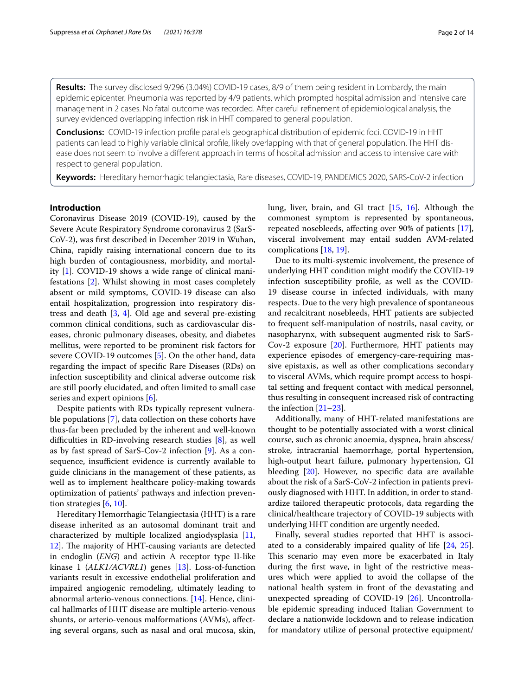**Results:** The survey disclosed 9/296 (3.04%) COVID-19 cases, 8/9 of them being resident in Lombardy, the main epidemic epicenter. Pneumonia was reported by 4/9 patients, which prompted hospital admission and intensive care management in 2 cases. No fatal outcome was recorded. After careful refnement of epidemiological analysis, the survey evidenced overlapping infection risk in HHT compared to general population.

**Conclusions:** COVID-19 infection profle parallels geographical distribution of epidemic foci. COVID-19 in HHT patients can lead to highly variable clinical profle, likely overlapping with that of general population. The HHT disease does not seem to involve a diferent approach in terms of hospital admission and access to intensive care with respect to general population.

**Keywords:** Hereditary hemorrhagic telangiectasia, Rare diseases, COVID-19, PANDEMICS 2020, SARS-CoV-2 infection

#### **Introduction**

Coronavirus Disease 2019 (COVID-19), caused by the Severe Acute Respiratory Syndrome coronavirus 2 (SarS-CoV-2), was frst described in December 2019 in Wuhan, China, rapidly raising international concern due to its high burden of contagiousness, morbidity, and mortality [[1\]](#page-11-0). COVID-19 shows a wide range of clinical manifestations [[2\]](#page-11-1). Whilst showing in most cases completely absent or mild symptoms, COVID-19 disease can also entail hospitalization, progression into respiratory distress and death [[3](#page-11-2), [4](#page-11-3)]. Old age and several pre-existing common clinical conditions, such as cardiovascular diseases, chronic pulmonary diseases, obesity, and diabetes mellitus, were reported to be prominent risk factors for severe COVID-19 outcomes [[5](#page-11-4)]. On the other hand, data regarding the impact of specifc Rare Diseases (RDs) on infection susceptibility and clinical adverse outcome risk are still poorly elucidated, and often limited to small case series and expert opinions [[6\]](#page-11-5).

Despite patients with RDs typically represent vulnerable populations [[7](#page-11-6)], data collection on these cohorts have thus-far been precluded by the inherent and well-known difficulties in RD-involving research studies  $[8]$  $[8]$ , as well as by fast spread of SarS-Cov-2 infection [[9\]](#page-11-8). As a consequence, insufficient evidence is currently available to guide clinicians in the management of these patients, as well as to implement healthcare policy-making towards optimization of patients' pathways and infection prevention strategies [[6,](#page-11-5) [10\]](#page-11-9).

Hereditary Hemorrhagic Telangiectasia (HHT) is a rare disease inherited as an autosomal dominant trait and characterized by multiple localized angiodysplasia [\[11](#page-11-10), [12\]](#page-11-11). The majority of HHT-causing variants are detected in endoglin (*ENG*) and activin A receptor type II-like kinase 1 (*ALK1/ACVRL1*) genes [[13\]](#page-11-12). Loss-of-function variants result in excessive endothelial proliferation and impaired angiogenic remodeling, ultimately leading to abnormal arterio-venous connections. [[14\]](#page-11-13). Hence, clinical hallmarks of HHT disease are multiple arterio-venous shunts, or arterio-venous malformations (AVMs), afecting several organs, such as nasal and oral mucosa, skin, lung, liver, brain, and GI tract [\[15](#page-11-14), [16\]](#page-12-0). Although the commonest symptom is represented by spontaneous, repeated nosebleeds, afecting over 90% of patients [\[17](#page-12-1)], visceral involvement may entail sudden AVM-related complications [[18](#page-12-2), [19\]](#page-12-3).

Due to its multi-systemic involvement, the presence of underlying HHT condition might modify the COVID-19 infection susceptibility profle, as well as the COVID-19 disease course in infected individuals, with many respects. Due to the very high prevalence of spontaneous and recalcitrant nosebleeds, HHT patients are subjected to frequent self-manipulation of nostrils, nasal cavity, or nasopharynx, with subsequent augmented risk to SarS-Cov-2 exposure [\[20\]](#page-12-4). Furthermore, HHT patients may experience episodes of emergency-care-requiring massive epistaxis, as well as other complications secondary to visceral AVMs, which require prompt access to hospital setting and frequent contact with medical personnel, thus resulting in consequent increased risk of contracting the infection [\[21–](#page-12-5)[23\]](#page-12-6).

Additionally, many of HHT-related manifestations are thought to be potentially associated with a worst clinical course, such as chronic anoemia, dyspnea, brain abscess/ stroke, intracranial haemorrhage, portal hypertension, high-output heart failure, pulmonary hypertension, GI bleeding [[20\]](#page-12-4). However, no specifc data are available about the risk of a SarS-CoV-2 infection in patients previously diagnosed with HHT. In addition, in order to standardize tailored therapeutic protocols, data regarding the clinical/healthcare trajectory of COVID-19 subjects with underlying HHT condition are urgently needed.

Finally, several studies reported that HHT is associated to a considerably impaired quality of life [\[24](#page-12-7), [25](#page-12-8)]. This scenario may even more be exacerbated in Italy during the frst wave, in light of the restrictive measures which were applied to avoid the collapse of the national health system in front of the devastating and unexpected spreading of COVID-19 [\[26](#page-12-9)]. Uncontrollable epidemic spreading induced Italian Government to declare a nationwide lockdown and to release indication for mandatory utilize of personal protective equipment/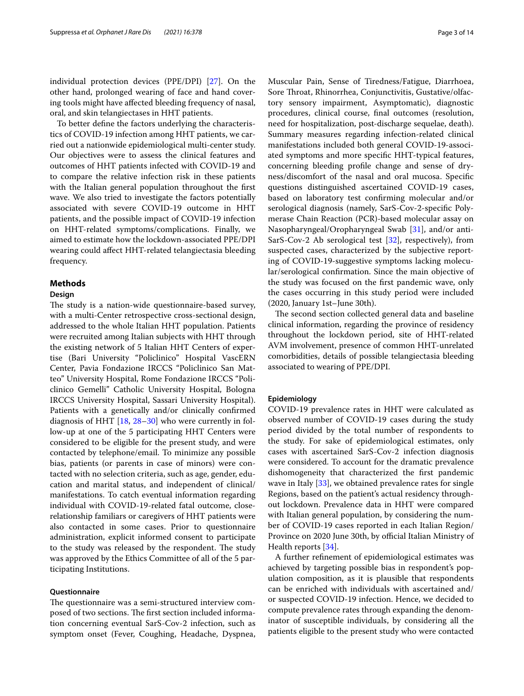individual protection devices (PPE/DPI) [\[27\]](#page-12-10). On the other hand, prolonged wearing of face and hand covering tools might have afected bleeding frequency of nasal, oral, and skin telangiectases in HHT patients.

To better defne the factors underlying the characteristics of COVID-19 infection among HHT patients, we carried out a nationwide epidemiological multi-center study. Our objectives were to assess the clinical features and outcomes of HHT patients infected with COVID-19 and to compare the relative infection risk in these patients with the Italian general population throughout the frst wave. We also tried to investigate the factors potentially associated with severe COVID-19 outcome in HHT patients, and the possible impact of COVID-19 infection on HHT-related symptoms/complications. Finally, we aimed to estimate how the lockdown-associated PPE/DPI wearing could afect HHT-related telangiectasia bleeding frequency.

## **Methods**

#### **Design**

The study is a nation-wide questionnaire-based survey, with a multi-Center retrospective cross-sectional design, addressed to the whole Italian HHT population. Patients were recruited among Italian subjects with HHT through the existing network of 5 Italian HHT Centers of expertise (Bari University "Policlinico" Hospital VascERN Center, Pavia Fondazione IRCCS "Policlinico San Matteo" University Hospital, Rome Fondazione IRCCS "Policlinico Gemelli" Catholic University Hospital, Bologna IRCCS University Hospital, Sassari University Hospital). Patients with a genetically and/or clinically confrmed diagnosis of HHT [\[18](#page-12-2), [28–](#page-12-11)[30\]](#page-12-12) who were currently in follow-up at one of the 5 participating HHT Centers were considered to be eligible for the present study, and were contacted by telephone/email. To minimize any possible bias, patients (or parents in case of minors) were contacted with no selection criteria, such as age, gender, education and marital status, and independent of clinical/ manifestations. To catch eventual information regarding individual with COVID-19-related fatal outcome, closerelationship familiars or caregivers of HHT patients were also contacted in some cases. Prior to questionnaire administration, explicit informed consent to participate to the study was released by the respondent. The study was approved by the Ethics Committee of all of the 5 participating Institutions.

## **Questionnaire**

The questionnaire was a semi-structured interview composed of two sections. The first section included information concerning eventual SarS-Cov-2 infection, such as symptom onset (Fever, Coughing, Headache, Dyspnea, Muscular Pain, Sense of Tiredness/Fatigue, Diarrhoea, Sore Throat, Rhinorrhea, Conjunctivitis, Gustative/olfactory sensory impairment, Asymptomatic), diagnostic procedures, clinical course, fnal outcomes (resolution, need for hospitalization, post-discharge sequelae, death). Summary measures regarding infection-related clinical manifestations included both general COVID-19-associated symptoms and more specifc HHT-typical features, concerning bleeding profle change and sense of dryness/discomfort of the nasal and oral mucosa. Specifc questions distinguished ascertained COVID-19 cases, based on laboratory test confrming molecular and/or serological diagnosis (namely, SarS-Cov-2-specifc Polymerase Chain Reaction (PCR)-based molecular assay on Nasopharyngeal/Oropharyngeal Swab [[31\]](#page-12-13), and/or anti-SarS-Cov-2 Ab serological test [[32](#page-12-14)], respectively), from suspected cases, characterized by the subjective reporting of COVID-19-suggestive symptoms lacking molecular/serological confrmation. Since the main objective of the study was focused on the frst pandemic wave, only the cases occurring in this study period were included (2020, January 1st–June 30th).

The second section collected general data and baseline clinical information, regarding the province of residency throughout the lockdown period, site of HHT-related AVM involvement, presence of common HHT-unrelated comorbidities, details of possible telangiectasia bleeding associated to wearing of PPE/DPI.

## **Epidemiology**

COVID-19 prevalence rates in HHT were calculated as observed number of COVID-19 cases during the study period divided by the total number of respondents to the study. For sake of epidemiological estimates, only cases with ascertained SarS-Cov-2 infection diagnosis were considered. To account for the dramatic prevalence dishomogeneity that characterized the frst pandemic wave in Italy  $[33]$  $[33]$ , we obtained prevalence rates for single Regions, based on the patient's actual residency throughout lockdown. Prevalence data in HHT were compared with Italian general population, by considering the number of COVID-19 cases reported in each Italian Region/ Province on 2020 June 30th, by official Italian Ministry of Health reports [[34\]](#page-12-16).

A further refnement of epidemiological estimates was achieved by targeting possible bias in respondent's population composition, as it is plausible that respondents can be enriched with individuals with ascertained and/ or suspected COVID-19 infection. Hence, we decided to compute prevalence rates through expanding the denominator of susceptible individuals, by considering all the patients eligible to the present study who were contacted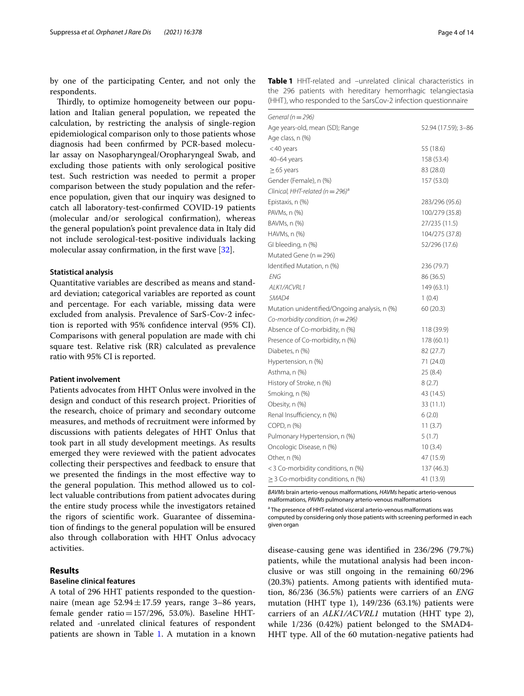by one of the participating Center, and not only the respondents.

Thirdly, to optimize homogeneity between our population and Italian general population, we repeated the calculation, by restricting the analysis of single-region epidemiological comparison only to those patients whose diagnosis had been confrmed by PCR-based molecular assay on Nasopharyngeal/Oropharyngeal Swab, and excluding those patients with only serological positive test. Such restriction was needed to permit a proper comparison between the study population and the reference population, given that our inquiry was designed to catch all laboratory-test-confrmed COVID-19 patients (molecular and/or serological confrmation), whereas the general population's point prevalence data in Italy did not include serological-test-positive individuals lacking molecular assay confrmation, in the frst wave [\[32](#page-12-14)].

#### **Statistical analysis**

Quantitative variables are described as means and standard deviation; categorical variables are reported as count and percentage. For each variable, missing data were excluded from analysis. Prevalence of SarS-Cov-2 infection is reported with 95% confdence interval (95% CI). Comparisons with general population are made with chi square test. Relative risk (RR) calculated as prevalence ratio with 95% CI is reported.

## **Patient involvement**

Patients advocates from HHT Onlus were involved in the design and conduct of this research project. Priorities of the research, choice of primary and secondary outcome measures, and methods of recruitment were informed by discussions with patients delegates of HHT Onlus that took part in all study development meetings. As results emerged they were reviewed with the patient advocates collecting their perspectives and feedback to ensure that we presented the fndings in the most efective way to the general population. This method allowed us to collect valuable contributions from patient advocates during the entire study process while the investigators retained the rigors of scientifc work. Guarantee of dissemination of fndings to the general population will be ensured also through collaboration with HHT Onlus advocacy activities.

## **Results**

## **Baseline clinical features**

A total of 296 HHT patients responded to the questionnaire (mean age  $52.94 \pm 17.59$  years, range 3–86 years, female gender ratio=157/296, 53.0%). Baseline HHTrelated and -unrelated clinical features of respondent patients are shown in Table [1](#page-3-0). A mutation in a known <span id="page-3-0"></span>**Table 1** HHT-related and –unrelated clinical characteristics in the 296 patients with hereditary hemorrhagic telangiectasia (HHT), who responded to the SarsCov-2 infection questionnaire

| General ( $n = 296$ )                            |                     |
|--------------------------------------------------|---------------------|
| Age years-old, mean (SD); Range                  | 52.94 (17.59); 3-86 |
| Age class, n (%)                                 |                     |
| <40 years                                        | 55 (18.6)           |
| $40-64$ years                                    | 158 (53.4)          |
| $\geq$ 65 years                                  | 83 (28.0)           |
| Gender (Female), n (%)                           | 157 (53.0)          |
| Clinical, HHT-related ( $n = 296$ ) <sup>a</sup> |                     |
| Epistaxis, n (%)                                 | 283/296 (95.6)      |
| PAVMs, n (%)                                     | 100/279 (35.8)      |
| BAVMs, n (%)                                     | 27/235 (11.5)       |
| HAVMs, n (%)                                     | 104/275 (37.8)      |
| GI bleeding, n (%)                               | 52/296 (17.6)       |
| Mutated Gene (n = 296)                           |                     |
| Identified Mutation, n (%)                       | 236 (79.7)          |
| ENG                                              | 86 (36.5)           |
| ALK1/ACVRL1                                      | 149 (63.1)          |
| SMAD4                                            | 1(0.4)              |
| Mutation unidentified/Ongoing analysis, n (%)    | 60(20.3)            |
| Co-morbidity condition, $(n = 296)$              |                     |
| Absence of Co-morbidity, n (%)                   | 118 (39.9)          |
| Presence of Co-morbidity, n (%)                  | 178 (60.1)          |
| Diabetes, n (%)                                  | 82 (27.7)           |
| Hypertension, n (%)                              | 71 (24.0)           |
| Asthma, n (%)                                    | 25(8.4)             |
| History of Stroke, n (%)                         | 8(2.7)              |
| Smoking, n (%)                                   | 43 (14.5)           |
| Obesity, n (%)                                   | 33 (11.1)           |
| Renal Insufficiency, n (%)                       | 6(2.0)              |
| COPD, n (%)                                      | 11(3.7)             |
| Pulmonary Hypertension, n (%)                    | 5(1.7)              |
| Oncologic Disease, n (%)                         | 10(3.4)             |
| Other, n (%)                                     | 47 (15.9)           |
| <3 Co-morbidity conditions, n (%)                | 137 (46.3)          |
| $\geq$ 3 Co-morbidity conditions, n (%)          | 41 (13.9)           |

*BAVMs* brain arterio-venous malformations, *HAVMs* hepatic arterio-venous malformations, *PAVMs* pulmonary arterio-venous malformations

<sup>a</sup> The presence of HHT-related visceral arterio-venous malformations was computed by considering only those patients with screening performed in each given organ

disease-causing gene was identifed in 236/296 (79.7%) patients, while the mutational analysis had been inconclusive or was still ongoing in the remaining 60/296 (20.3%) patients. Among patients with identifed mutation, 86/236 (36.5%) patients were carriers of an *ENG* mutation (HHT type 1), 149/236 (63.1%) patients were carriers of an *ALK1/ACVRL1* mutation (HHT type 2), while 1/236 (0.42%) patient belonged to the SMAD4- HHT type. All of the 60 mutation-negative patients had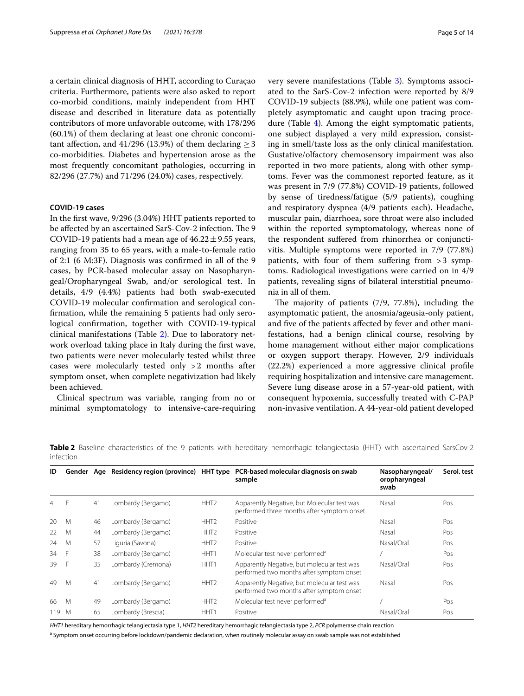a certain clinical diagnosis of HHT, according to Curaçao criteria. Furthermore, patients were also asked to report co-morbid conditions, mainly independent from HHT disease and described in literature data as potentially contributors of more unfavorable outcome, with 178/296 (60.1%) of them declaring at least one chronic concomitant affection, and 41/296 (13.9%) of them declaring  $\geq$  3 co-morbidities. Diabetes and hypertension arose as the most frequently concomitant pathologies, occurring in 82/296 (27.7%) and 71/296 (24.0%) cases, respectively.

#### **COVID‑19 cases**

In the frst wave, 9/296 (3.04%) HHT patients reported to be affected by an ascertained SarS-Cov-2 infection. The 9 COVID-19 patients had a mean age of  $46.22 \pm 9.55$  years, ranging from 35 to 65 years, with a male-to-female ratio of 2:1 (6 M:3F). Diagnosis was confrmed in all of the 9 cases, by PCR-based molecular assay on Nasopharyngeal/Oropharyngeal Swab, and/or serological test. In details, 4/9 (4.4%) patients had both swab-executed COVID-19 molecular confrmation and serological confrmation, while the remaining 5 patients had only serological confrmation, together with COVID-19-typical clinical manifestations (Table [2\)](#page-4-0). Due to laboratory network overload taking place in Italy during the frst wave, two patients were never molecularly tested whilst three cases were molecularly tested only >2 months after symptom onset, when complete negativization had likely been achieved.

Clinical spectrum was variable, ranging from no or minimal symptomatology to intensive-care-requiring very severe manifestations (Table [3\)](#page-5-0). Symptoms associated to the SarS-Cov-2 infection were reported by 8/9 COVID-19 subjects (88.9%), while one patient was completely asymptomatic and caught upon tracing proce-dure (Table [4\)](#page-5-1). Among the eight symptomatic patients, one subject displayed a very mild expression, consisting in smell/taste loss as the only clinical manifestation. Gustative/olfactory chemosensory impairment was also reported in two more patients, along with other symptoms. Fever was the commonest reported feature, as it was present in 7/9 (77.8%) COVID-19 patients, followed by sense of tiredness/fatigue (5/9 patients), coughing and respiratory dyspnea (4/9 patients each). Headache, muscular pain, diarrhoea, sore throat were also included within the reported symptomatology, whereas none of the respondent sufered from rhinorrhea or conjunctivitis. Multiple symptoms were reported in 7/9 (77.8%) patients, with four of them sufering from >3 symptoms. Radiological investigations were carried on in 4/9 patients, revealing signs of bilateral interstitial pneumonia in all of them.

The majority of patients  $(7/9, 77.8%)$ , including the asymptomatic patient, the anosmia/ageusia-only patient, and fve of the patients afected by fever and other manifestations, had a benign clinical course, resolving by home management without either major complications or oxygen support therapy. However, 2/9 individuals (22.2%) experienced a more aggressive clinical profle requiring hospitalization and intensive care management. Severe lung disease arose in a 57-year-old patient, with consequent hypoxemia, successfully treated with C-PAP non-invasive ventilation. A 44-year-old patient developed

<span id="page-4-0"></span>

| <i>infection</i> |  |  |  |  | Table 2 Baseline characteristics of the 9 patients with hereditary hemorrhagic telangiectasia (HHT) with ascertained SarsCov-2 |  |  |  |
|------------------|--|--|--|--|--------------------------------------------------------------------------------------------------------------------------------|--|--|--|
|                  |  |  |  |  |                                                                                                                                |  |  |  |

| ID  |   |    | Gender Age Residency region (province) | <b>HHT</b> type  | PCR-based molecular diagnosis on swab<br>sample                                           | Nasopharyngeal/<br>oropharyngeal<br>swab | Serol. test |
|-----|---|----|----------------------------------------|------------------|-------------------------------------------------------------------------------------------|------------------------------------------|-------------|
| 4   | F | 41 | Lombardy (Bergamo)                     | HHT <sub>2</sub> | Apparently Negative, but Molecular test was<br>performed three months after symptom onset | Nasal                                    | Pos         |
| 20  | M | 46 | Lombardy (Bergamo)                     | HHT <sub>2</sub> | Positive                                                                                  | Nasal                                    | Pos         |
| 22  | M | 44 | Lombardy (Bergamo)                     | HHT <sub>2</sub> | Positive                                                                                  | Nasal                                    | Pos         |
| 24  | M | 57 | Liguria (Savona)                       | HHT <sub>2</sub> | Positive                                                                                  | Nasal/Oral                               | Pos         |
| 34  | F | 38 | Lombardy (Bergamo)                     | HHT1             | Molecular test never performed <sup>a</sup>                                               |                                          | Pos         |
| 39  | F | 35 | Lombardy (Cremona)                     | HHT1             | Apparently Negative, but molecular test was<br>performed two months after symptom onset   | Nasal/Oral                               | Pos         |
| 49  | M | 41 | Lombardy (Bergamo)                     | HHT <sub>2</sub> | Apparently Negative, but molecular test was<br>performed two months after symptom onset   | Nasal                                    | Pos         |
| 66  | M | 49 | Lombardy (Bergamo)                     | HHT <sub>2</sub> | Molecular test never performed <sup>a</sup>                                               |                                          | Pos         |
| 119 | M | 65 | Lombardy (Brescia)                     | HHT1             | Positive                                                                                  | Nasal/Oral                               | Pos         |

*HHT1* hereditary hemorrhagic telangiectasia type 1, *HHT2* hereditary hemorrhagic telangiectasia type 2, *PCR* polymerase chain reaction

a Symptom onset occurring before lockdown/pandemic declaration, when routinely molecular assay on swab sample was not established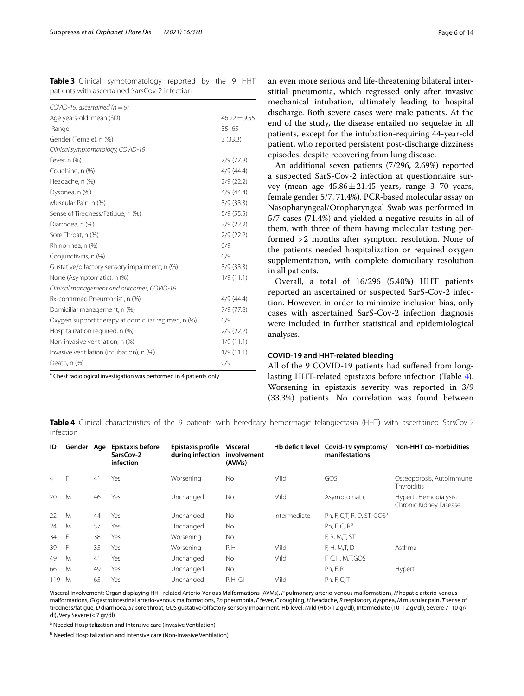<span id="page-5-0"></span>**Table 3** Clinical symptomatology reported by the 9 HHT patients with ascertained SarsCov-2 infection

| COVID-19, ascertained ( $n = 9$ )                   |                |
|-----------------------------------------------------|----------------|
| Age years-old, mean (SD)                            | $46.22 + 9.55$ |
| Range                                               | $35 - 65$      |
| Gender (Female), n (%)                              | 3(33.3)        |
| Clinical symptomatology, COVID-19                   |                |
| Fever, n (%)                                        | 7/9(77.8)      |
| Coughing, n (%)                                     | 4/9(44.4)      |
| Headache, n (%)                                     | 2/9(22.2)      |
| Dyspnea, n (%)                                      | 4/9(44.4)      |
| Muscular Pain, n (%)                                | 3/9(33.3)      |
| Sense of Tiredness/Fatigue, n (%)                   | 5/9(55.5)      |
| Diarrhoea, n (%)                                    | 2/9(22.2)      |
| Sore Throat, n (%)                                  | 2/9(22.2)      |
| Rhinorrhea, n (%)                                   | 0/9            |
| Conjunctivitis, n (%)                               | 0/9            |
| Gustative/olfactory sensory impairment, n (%)       | 3/9(33.3)      |
| None (Asymptomatic), n (%)                          | 1/9(11.1)      |
| Clinical management and outcomes, COVID-19          |                |
| Rx-confirmed Pneumonia <sup>a</sup> , n (%)         | 4/9(44.4)      |
| Domiciliar management, n (%)                        | 7/9(77.8)      |
| Oxygen support therapy at domiciliar regimen, n (%) | 0/9            |
| Hospitalization required, n (%)                     | 2/9(22.2)      |
| Non-invasive ventilation, n (%)                     | 1/9(11.1)      |
| Invasive ventilation (intubation), n (%)            | 1/9(11.1)      |
| Death, n (%)                                        | 0/9            |

<sup>a</sup> Chest radiological investigation was performed in 4 patients only

an even more serious and life-threatening bilateral interstitial pneumonia, which regressed only after invasive mechanical intubation, ultimately leading to hospital discharge. Both severe cases were male patients. At the end of the study, the disease entailed no sequelae in all patients, except for the intubation-requiring 44-year-old patient, who reported persistent post-discharge dizziness episodes, despite recovering from lung disease.

An additional seven patients (7/296, 2.69%) reported a suspected SarS-Cov-2 infection at questionnaire survey (mean age  $45.86 \pm 21.45$  years, range 3-70 years, female gender 5/7, 71.4%). PCR-based molecular assay on Nasopharyngeal/Oropharyngeal Swab was performed in 5/7 cases (71.4%) and yielded a negative results in all of them, with three of them having molecular testing performed >2 months after symptom resolution. None of the patients needed hospitalization or required oxygen supplementation, with complete domiciliary resolution in all patients.

Overall, a total of 16/296 (5.40%) HHT patients reported an ascertained or suspected SarS-Cov-2 infection. However, in order to minimize inclusion bias, only cases with ascertained SarS-Cov-2 infection diagnosis were included in further statistical and epidemiological analyses.

## **COVID‑19 and HHT‑related bleeding**

All of the 9 COVID-19 patients had sufered from longlasting HHT-related epistaxis before infection (Table [4](#page-5-1)). Worsening in epistaxis severity was reported in 3/9 (33.3%) patients. No correlation was found between

<span id="page-5-1"></span>**Table 4** Clinical characteristics of the 9 patients with hereditary hemorrhagic telangiectasia (HHT) with ascertained SarsCov-2 infection

| ID  | Gender Age |    | <b>Epistaxis before</b><br>SarsCov-2<br>infection | Epistaxis profile<br>during infection | Visceral<br>involvement<br>(AVMs) | Hb deficit level | Covid-19 symptoms/<br>manifestations   | <b>Non-HHT co-morbidities</b>                    |
|-----|------------|----|---------------------------------------------------|---------------------------------------|-----------------------------------|------------------|----------------------------------------|--------------------------------------------------|
| 4   | F          | 41 | Yes                                               | Worsening                             | No                                | Mild             | GOS                                    | Osteoporosis, Autoimmune<br>Thyroiditis          |
| 20  | M          | 46 | Yes                                               | Unchanged                             | No                                | Mild             | Asymptomatic                           | Hypert., Hemodialysis,<br>Chronic Kidney Disease |
| 22  | M          | 44 | Yes                                               | Unchanged                             | No                                | Intermediate     | Pn, F, C,T, R, D, ST, GOS <sup>a</sup> |                                                  |
| 24  | M          | 57 | Yes                                               | Unchanged                             | No.                               |                  | Pn, F, C, $R^b$                        |                                                  |
| 34  | F          | 38 | Yes                                               | Worsening                             | No                                |                  | F, R, M, T, ST                         |                                                  |
| 39  | F          | 35 | Yes                                               | Worsening                             | P, H                              | Mild             | F, H, M,T, D                           | Asthma                                           |
| 49  | M          | 41 | Yes                                               | Unchanged                             | No                                | Mild             | F, C, H, M, T, GOS                     |                                                  |
| 66  | M          | 49 | Yes                                               | Unchanged                             | No                                |                  | Pn, F, R                               | Hypert                                           |
| 119 | M          | 65 | Yes                                               | Unchanged                             | P, H, Gl                          | Mild             | Pn, F, C, T                            |                                                  |

Visceral Involvement: Organ displaying HHT-related Arterio-Venous Malformations (AVMs). *P* pulmonary arterio-venous malformations, *H* hepatic arterio-venous malformations, *GI* gastrointestinal arterio-venous malformations, *Pn* pneumonia, *F* fever, *C* coughing, *H* headache, *R* respiratory dyspnea, *M* muscular pain, *T* sense of tiredness/fatigue, *D* diarrhoea, *ST* sore throat, *GOS* gustative/olfactory sensory impairment. Hb level: Mild (Hb>12 gr/dl), Intermediate (10–12 gr/dl), Severe 7–10 gr/ dl), Very Severe (<7 gr/dl)

<sup>a</sup> Needed Hospitalization and Intensive care (Invasive Ventilation)

<sup>b</sup> Needed Hospitalization and Intensive care (Non-Invasive Ventilation)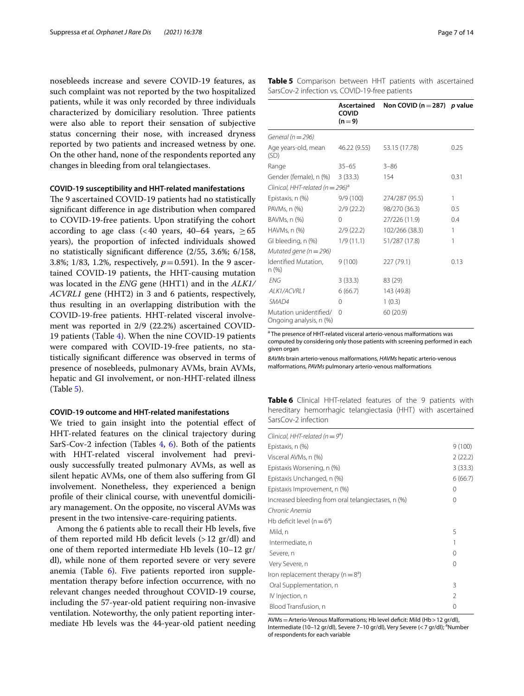nosebleeds increase and severe COVID-19 features, as such complaint was not reported by the two hospitalized patients, while it was only recorded by three individuals characterized by domiciliary resolution. Three patients were also able to report their sensation of subjective status concerning their nose, with increased dryness reported by two patients and increased wetness by one. On the other hand, none of the respondents reported any changes in bleeding from oral telangiectases.

#### **COVID‑19 susceptibility and HHT‑related manifestations**

The 9 ascertained COVID-19 patients had no statistically signifcant diference in age distribution when compared to COVID-19-free patients. Upon stratifying the cohort according to age class (<40 years, 40–64 years,  $\geq 65$ years), the proportion of infected individuals showed no statistically signifcant diference (2/55, 3.6%; 6/158, 3.8%; 1/83, 1.2%, respectively, *p*=0.591). In the 9 ascertained COVID-19 patients, the HHT-causing mutation was located in the *ENG* gene (HHT1) and in the *ALK1/ ACVRL1* gene (HHT2) in 3 and 6 patients, respectively, thus resulting in an overlapping distribution with the COVID-19-free patients. HHT-related visceral involvement was reported in 2/9 (22.2%) ascertained COVID-19 patients (Table [4\)](#page-5-1). When the nine COVID-19 patients were compared with COVID-19-free patients, no statistically signifcant diference was observed in terms of presence of nosebleeds, pulmonary AVMs, brain AVMs, hepatic and GI involvement, or non-HHT-related illness (Table [5](#page-6-0)).

#### **COVID‑19 outcome and HHT‑related manifestations**

We tried to gain insight into the potential effect of HHT-related features on the clinical trajectory during SarS-Cov-2 infection (Tables [4,](#page-5-1) [6\)](#page-6-1). Both of the patients with HHT-related visceral involvement had previously successfully treated pulmonary AVMs, as well as silent hepatic AVMs, one of them also sufering from GI involvement. Nonetheless, they experienced a benign profle of their clinical course, with uneventful domiciliary management. On the opposite, no visceral AVMs was present in the two intensive-care-requiring patients.

Among the 6 patients able to recall their Hb levels, fve of them reported mild Hb deficit levels  $(>12 \text{ gr}/\text{dl})$  and one of them reported intermediate Hb levels (10–12 gr/ dl), while none of them reported severe or very severe anemia (Table  $6$ ). Five patients reported iron supplementation therapy before infection occurrence, with no relevant changes needed throughout COVID-19 course, including the 57-year-old patient requiring non-invasive ventilation. Noteworthy, the only patient reporting intermediate Hb levels was the 44-year-old patient needing

<span id="page-6-0"></span>

|                                                   | Ascertained<br>COVID<br>$(n=9)$ | Non COVID ( $n = 287$ ) p value |      |
|---------------------------------------------------|---------------------------------|---------------------------------|------|
| General ( $n = 296$ )                             |                                 |                                 |      |
| Age years-old, mean<br>(SD)                       | 46.22 (9.55)                    | 53.15 (17.78)                   | 0.25 |
| Range                                             | $35 - 65$                       | $3 - 86$                        |      |
| Gender (female), n (%)                            | 3(33.3)                         | 154                             | 0.31 |
| Clinical, HHT-related ( $n = 296$ ) <sup>a</sup>  |                                 |                                 |      |
| Epistaxis, n (%)                                  | 9/9(100)                        | 274/287 (95.5)                  | 1    |
| PAVMs, n (%)                                      | 2/9(22.2)                       | 98/270 (36.3)                   | 0.5  |
| BAVMs, n (%)                                      | $\Omega$                        | 27/226 (11.9)                   | 0.4  |
| HAVMs, n (%)                                      | 2/9(22.2)                       | 102/266 (38.3)                  | 1    |
| GI bleeding, n (%)                                | 1/9(11.1)                       | 51/287 (17.8)                   | 1    |
| Mutated gene ( $n = 296$ )                        |                                 |                                 |      |
| Identified Mutation,<br>n (%)                     | 9(100)                          | 227 (79.1)                      | 0.13 |
| <b>FNG</b>                                        | 3(33.3)                         | 83 (29)                         |      |
| ALK1/ACVRL1                                       | 6(66.7)                         | 143 (49.8)                      |      |
| SMAD4                                             | 0                               | 1(0.3)                          |      |
| Mutation unidentified/<br>Ongoing analysis, n (%) | 0                               | 60 (20.9)                       |      |

<sup>a</sup> The presence of HHT-related visceral arterio-venous malformations was computed by considering only those patients with screening performed in each given organ

*BAVMs* brain arterio-venous malformations, *HAVMs* hepatic arterio-venous malformations, *PAVMs* pulmonary arterio-venous malformations

<span id="page-6-1"></span>**Table 6** Clinical HHT-related features of the 9 patients with hereditary hemorrhagic telangiectasia (HHT) with ascertained SarsCov-2 infection

| Clinical, HHT-related ( $n = 9a$ )                 |         |
|----------------------------------------------------|---------|
| Epistaxis, n (%)                                   | 9(100)  |
| Visceral AVMs, n (%)                               | 2(22.2) |
| Epistaxis Worsening, n (%)                         | 3(33.3) |
| Epistaxis Unchanged, n (%)                         | 6(66.7) |
| Epistaxis Improvement, n (%)                       | 0       |
| Increased bleeding from oral telangiectases, n (%) | 0       |
| Chronic Anemia                                     |         |
| Hb deficit level ( $n = 6a$ )                      |         |
| Mild, n                                            | 5       |
| Intermediate, n                                    |         |
| Severe, n                                          | 0       |
| Very Severe, n                                     | 0       |
| Iron replacement therapy ( $n = 8a$ )              |         |
| Oral Supplementation, n                            | 3       |
| IV Injection, n                                    | 2       |
| Blood Transfusion, n                               | 0       |
|                                                    |         |

AVMs=Arterio-Venous Malformations; Hb level defcit: Mild (Hb>12 gr/dl), Intermediate (10-12 gr/dl), Severe 7-10 gr/dl), Very Severe (< 7 gr/dl); <sup>a</sup>Number of respondents for each variable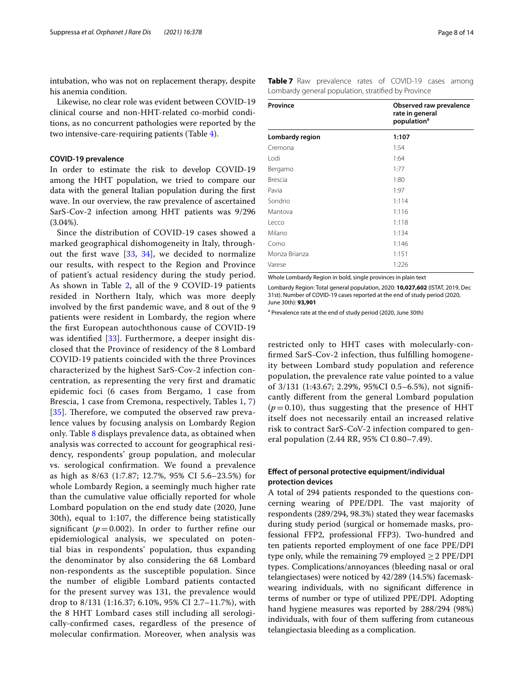intubation, who was not on replacement therapy, despite his anemia condition.

Likewise, no clear role was evident between COVID-19 clinical course and non-HHT-related co-morbid conditions, as no concurrent pathologies were reported by the two intensive-care-requiring patients (Table [4](#page-5-1)).

## **COVID‑19 prevalence**

In order to estimate the risk to develop COVID-19 among the HHT population, we tried to compare our data with the general Italian population during the frst wave. In our overview, the raw prevalence of ascertained SarS-Cov-2 infection among HHT patients was 9/296 (3.04%).

Since the distribution of COVID-19 cases showed a marked geographical dishomogeneity in Italy, throughout the first wave  $[33, 34]$  $[33, 34]$  $[33, 34]$  $[33, 34]$ , we decided to normalize our results, with respect to the Region and Province of patient's actual residency during the study period. As shown in Table [2,](#page-4-0) all of the 9 COVID-19 patients resided in Northern Italy, which was more deeply involved by the frst pandemic wave, and 8 out of the 9 patients were resident in Lombardy, the region where the frst European autochthonous cause of COVID-19 was identifed [[33](#page-12-15)]. Furthermore, a deeper insight disclosed that the Province of residency of the 8 Lombard COVID-19 patients coincided with the three Provinces characterized by the highest SarS-Cov-2 infection concentration, as representing the very frst and dramatic epidemic foci (6 cases from Bergamo, 1 case from Brescia, 1 case from Cremona, respectively, Tables [1](#page-3-0), [7](#page-7-0)) [ $35$ ]. Therefore, we computed the observed raw prevalence values by focusing analysis on Lombardy Region only. Table [8](#page-8-0) displays prevalence data, as obtained when analysis was corrected to account for geographical residency, respondents' group population, and molecular vs. serological confrmation. We found a prevalence as high as 8/63 (1:7.87; 12.7%, 95% CI 5.6–23.5%) for whole Lombardy Region, a seemingly much higher rate than the cumulative value officially reported for whole Lombard population on the end study date (2020, June 30th), equal to 1:107, the diference being statistically significant ( $p=0.002$ ). In order to further refine our epidemiological analysis, we speculated on potential bias in respondents' population, thus expanding the denominator by also considering the 68 Lombard non-respondents as the susceptible population. Since the number of eligible Lombard patients contacted for the present survey was 131, the prevalence would drop to 8/131 (1:16.37; 6.10%, 95% CI 2.7–11.7%), with the 8 HHT Lombard cases still including all serologically-confrmed cases, regardless of the presence of molecular confrmation. Moreover, when analysis was

| Page 8 of 14 |  |  |
|--------------|--|--|
|--------------|--|--|

<span id="page-7-0"></span>

|  | Table 7 Raw prevalence rates of COVID-19 cases among |  |  |  |
|--|------------------------------------------------------|--|--|--|
|  | Lombardy general population, stratified by Province  |  |  |  |

| Province        | Observed raw prevalence<br>rate in general<br>population <sup>a</sup> |
|-----------------|-----------------------------------------------------------------------|
| Lombardy region | 1:107                                                                 |
| Cremona         | 1:54                                                                  |
| Lodi            | 1:64                                                                  |
| Bergamo         | 1:77                                                                  |
| <b>Brescia</b>  | 1:80                                                                  |
| Pavia           | 1:97                                                                  |
| Sondrio         | 1:114                                                                 |
| Mantova         | 1:116                                                                 |
| Lecco           | 1:118                                                                 |
| Milano          | 1:134                                                                 |
| Como            | 1:146                                                                 |
| Monza Brianza   | 1:151                                                                 |
| Varese          | 1:226                                                                 |

Whole Lombardy Region in bold, single provinces in plain text

Lombardy Region: Total general population, 2020: **10,027,602** (ISTAT, 2019, Dec 31st). Number of COVID-19 cases reported at the end of study period (2020, June 30th): **93,901**

a Prevalence rate at the end of study period (2020, June 30th)

restricted only to HHT cases with molecularly-confrmed SarS-Cov-2 infection, thus fulflling homogeneity between Lombard study population and reference population, the prevalence rate value pointed to a value of 3/131 (1:43.67; 2.29%, 95%CI 0.5–6.5%), not signifcantly diferent from the general Lombard population  $(p=0.10)$ , thus suggesting that the presence of HHT itself does not necessarily entail an increased relative risk to contract SarS-CoV-2 infection compared to general population (2.44 RR, 95% CI 0.80–7.49).

## **Efect of personal protective equipment/individual protection devices**

A total of 294 patients responded to the questions concerning wearing of PPE/DPI. The vast majority of respondents (289/294, 98.3%) stated they wear facemasks during study period (surgical or homemade masks, professional FFP2, professional FFP3). Two-hundred and ten patients reported employment of one face PPE/DPI type only, while the remaining 79 employed  $\geq$  2 PPE/DPI types. Complications/annoyances (bleeding nasal or oral telangiectases) were noticed by 42/289 (14.5%) facemaskwearing individuals, with no signifcant diference in terms of number or type of utilized PPE/DPI. Adopting hand hygiene measures was reported by 288/294 (98%) individuals, with four of them sufering from cutaneous telangiectasia bleeding as a complication.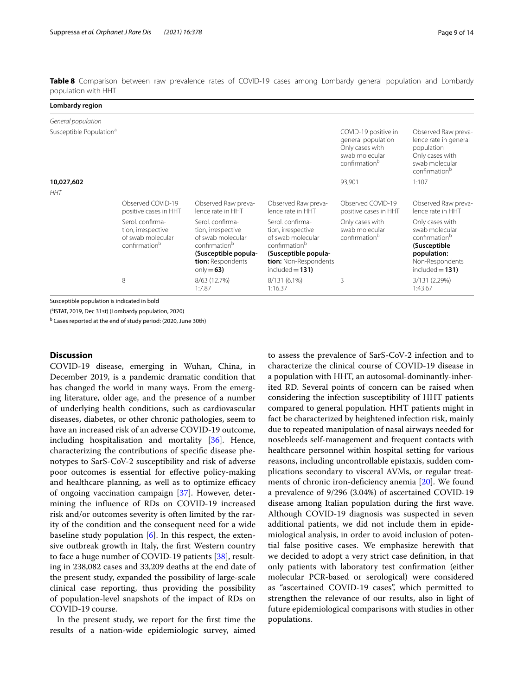<span id="page-8-0"></span>**Table 8** Comparison between raw prevalence rates of COVID-19 cases among Lombardy general population and Lombardy population with HHT

| Lombardy region                                                    |                                                                                          |                                                                                                                                                        |                                                                                                                                                                 |                                                                                                              |                                                                                                                                        |
|--------------------------------------------------------------------|------------------------------------------------------------------------------------------|--------------------------------------------------------------------------------------------------------------------------------------------------------|-----------------------------------------------------------------------------------------------------------------------------------------------------------------|--------------------------------------------------------------------------------------------------------------|----------------------------------------------------------------------------------------------------------------------------------------|
| General population                                                 |                                                                                          |                                                                                                                                                        |                                                                                                                                                                 |                                                                                                              |                                                                                                                                        |
| Susceptible Population <sup>a</sup>                                |                                                                                          |                                                                                                                                                        |                                                                                                                                                                 | COVID-19 positive in<br>general population<br>Only cases with<br>swab molecular<br>confirmation <sup>b</sup> | Observed Raw preva-<br>lence rate in general<br>population<br>Only cases with<br>swab molecular<br>confirmation <sup>b</sup>           |
| 10,027,602                                                         |                                                                                          |                                                                                                                                                        |                                                                                                                                                                 | 93,901                                                                                                       | 1:107                                                                                                                                  |
| <b>HHT</b>                                                         |                                                                                          |                                                                                                                                                        |                                                                                                                                                                 |                                                                                                              |                                                                                                                                        |
|                                                                    | Observed COVID-19<br>positive cases in HHT                                               | Observed Raw preva-<br>lence rate in HHT                                                                                                               | Observed Raw preva-<br>lence rate in HHT                                                                                                                        | Observed COVID-19<br>positive cases in HHT                                                                   | Observed Raw preva-<br>lence rate in HHT                                                                                               |
|                                                                    | Serol. confirma-<br>tion, irrespective<br>of swab molecular<br>confirmation <sup>b</sup> | Serol. confirma-<br>tion, irrespective<br>of swab molecular<br>confirmation <sup>b</sup><br>(Susceptible popula-<br>tion: Respondents<br>only $= 63$ ) | Serol. confirma-<br>tion, irrespective<br>of swab molecular<br>confirmation <sup>b</sup><br>(Susceptible popula-<br>tion: Non-Respondents<br>included $= 131$ ) | Only cases with<br>swab molecular<br>confirmation <sup>b</sup>                                               | Only cases with<br>swab molecular<br>confirmation <sup>b</sup><br>(Susceptible<br>population:<br>Non-Respondents<br>included $= 131$ ) |
|                                                                    | 8                                                                                        | 8/63 (12.7%)<br>1:7.87                                                                                                                                 | 8/131 (6.1%)<br>1:16.37                                                                                                                                         | 3                                                                                                            | 3/131 (2.29%)<br>1:43.67                                                                                                               |
| والمراجع والمتراد والمستراد والمتحدث والمتحدث والمازوجين والمستحدث |                                                                                          |                                                                                                                                                        |                                                                                                                                                                 |                                                                                                              |                                                                                                                                        |

Susceptible population is indicated in bold

( a ISTAT, 2019, Dec 31st) (Lombardy population, 2020)

<sup>b</sup> Cases reported at the end of study period: (2020, June 30th)

## **Discussion**

COVID-19 disease, emerging in Wuhan, China, in December 2019, is a pandemic dramatic condition that has changed the world in many ways. From the emerging literature, older age, and the presence of a number of underlying health conditions, such as cardiovascular diseases, diabetes, or other chronic pathologies, seem to have an increased risk of an adverse COVID-19 outcome, including hospitalisation and mortality [[36\]](#page-12-18). Hence, characterizing the contributions of specifc disease phenotypes to SarS-CoV-2 susceptibility and risk of adverse poor outcomes is essential for efective policy-making and healthcare planning, as well as to optimize efficacy of ongoing vaccination campaign [\[37\]](#page-12-19). However, determining the infuence of RDs on COVID-19 increased risk and/or outcomes severity is often limited by the rarity of the condition and the consequent need for a wide baseline study population  $[6]$  $[6]$ . In this respect, the extensive outbreak growth in Italy, the frst Western country to face a huge number of COVID-19 patients [\[38](#page-12-20)], resulting in 238,082 cases and 33,209 deaths at the end date of the present study, expanded the possibility of large-scale clinical case reporting, thus providing the possibility of population-level snapshots of the impact of RDs on COVID-19 course.

In the present study, we report for the frst time the results of a nation-wide epidemiologic survey, aimed to assess the prevalence of SarS-CoV-2 infection and to characterize the clinical course of COVID-19 disease in a population with HHT, an autosomal-dominantly-inherited RD. Several points of concern can be raised when considering the infection susceptibility of HHT patients compared to general population. HHT patients might in fact be characterized by heightened infection risk, mainly due to repeated manipulation of nasal airways needed for nosebleeds self-management and frequent contacts with healthcare personnel within hospital setting for various reasons, including uncontrollable epistaxis, sudden complications secondary to visceral AVMs, or regular treatments of chronic iron-defciency anemia [\[20](#page-12-4)]. We found a prevalence of 9/296 (3.04%) of ascertained COVID-19 disease among Italian population during the frst wave. Although COVID-19 diagnosis was suspected in seven additional patients, we did not include them in epidemiological analysis, in order to avoid inclusion of potential false positive cases. We emphasize herewith that we decided to adopt a very strict case defnition, in that only patients with laboratory test confrmation (either molecular PCR-based or serological) were considered as "ascertained COVID-19 cases", which permitted to strengthen the relevance of our results, also in light of future epidemiological comparisons with studies in other populations.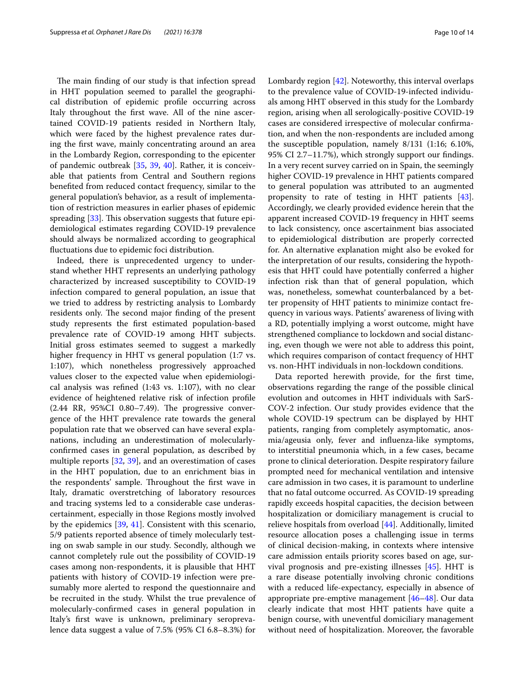The main finding of our study is that infection spread in HHT population seemed to parallel the geographical distribution of epidemic profle occurring across Italy throughout the frst wave. All of the nine ascertained COVID-19 patients resided in Northern Italy, which were faced by the highest prevalence rates during the frst wave, mainly concentrating around an area in the Lombardy Region, corresponding to the epicenter of pandemic outbreak [[35,](#page-12-17) [39](#page-12-21), [40\]](#page-12-22). Rather, it is conceivable that patients from Central and Southern regions benefted from reduced contact frequency, similar to the general population's behavior, as a result of implementation of restriction measures in earlier phases of epidemic spreading  $[33]$  $[33]$ . This observation suggests that future epidemiological estimates regarding COVID-19 prevalence should always be normalized according to geographical fuctuations due to epidemic foci distribution.

Indeed, there is unprecedented urgency to understand whether HHT represents an underlying pathology characterized by increased susceptibility to COVID-19 infection compared to general population, an issue that we tried to address by restricting analysis to Lombardy residents only. The second major finding of the present study represents the frst estimated population-based prevalence rate of COVID-19 among HHT subjects. Initial gross estimates seemed to suggest a markedly higher frequency in HHT vs general population (1:7 vs. 1:107), which nonetheless progressively approached values closer to the expected value when epidemiological analysis was refned (1:43 vs. 1:107), with no clear evidence of heightened relative risk of infection profle  $(2.44 \, \text{RR}, \, 95\% \text{CI} \, 0.80 - 7.49)$ . The progressive convergence of the HHT prevalence rate towards the general population rate that we observed can have several explanations, including an underestimation of molecularlyconfrmed cases in general population, as described by multiple reports [[32,](#page-12-14) [39\]](#page-12-21), and an overestimation of cases in the HHT population, due to an enrichment bias in the respondents' sample. Throughout the first wave in Italy, dramatic overstretching of laboratory resources and tracing systems led to a considerable case underascertainment, especially in those Regions mostly involved by the epidemics [[39](#page-12-21), [41\]](#page-12-23). Consistent with this scenario, 5/9 patients reported absence of timely molecularly testing on swab sample in our study. Secondly, although we cannot completely rule out the possibility of COVID-19 cases among non-respondents, it is plausible that HHT patients with history of COVID-19 infection were presumably more alerted to respond the questionnaire and be recruited in the study. Whilst the true prevalence of molecularly-confrmed cases in general population in Italy's frst wave is unknown, preliminary seroprevalence data suggest a value of 7.5% (95% CI 6.8–8.3%) for Lombardy region [\[42](#page-12-24)]. Noteworthy, this interval overlaps to the prevalence value of COVID-19-infected individuals among HHT observed in this study for the Lombardy region, arising when all serologically-positive COVID-19 cases are considered irrespective of molecular confrmation, and when the non-respondents are included among the susceptible population, namely 8/131 (1:16; 6.10%, 95% CI 2.7–11.7%), which strongly support our fndings. In a very recent survey carried on in Spain, the seemingly higher COVID-19 prevalence in HHT patients compared to general population was attributed to an augmented propensity to rate of testing in HHT patients [\[43](#page-12-25)]. Accordingly, we clearly provided evidence herein that the apparent increased COVID-19 frequency in HHT seems to lack consistency, once ascertainment bias associated to epidemiological distribution are properly corrected for. An alternative explanation might also be evoked for the interpretation of our results, considering the hypothesis that HHT could have potentially conferred a higher infection risk than that of general population, which was, nonetheless, somewhat counterbalanced by a better propensity of HHT patients to minimize contact frequency in various ways. Patients' awareness of living with a RD, potentially implying a worst outcome, might have strengthened compliance to lockdown and social distancing, even though we were not able to address this point, which requires comparison of contact frequency of HHT vs. non-HHT individuals in non-lockdown conditions.

Data reported herewith provide, for the frst time, observations regarding the range of the possible clinical evolution and outcomes in HHT individuals with SarS-COV-2 infection. Our study provides evidence that the whole COVID-19 spectrum can be displayed by HHT patients, ranging from completely asymptomatic, anosmia/ageusia only, fever and infuenza-like symptoms, to interstitial pneumonia which, in a few cases, became prone to clinical deterioration. Despite respiratory failure prompted need for mechanical ventilation and intensive care admission in two cases, it is paramount to underline that no fatal outcome occurred. As COVID-19 spreading rapidly exceeds hospital capacities, the decision between hospitalization or domiciliary management is crucial to relieve hospitals from overload [[44\]](#page-12-26). Additionally, limited resource allocation poses a challenging issue in terms of clinical decision-making, in contexts where intensive care admission entails priority scores based on age, survival prognosis and pre-existing illnesses [\[45](#page-12-27)]. HHT is a rare disease potentially involving chronic conditions with a reduced life-expectancy, especially in absence of appropriate pre-emptive management  $[46-48]$  $[46-48]$ . Our data clearly indicate that most HHT patients have quite a benign course, with uneventful domiciliary management without need of hospitalization. Moreover, the favorable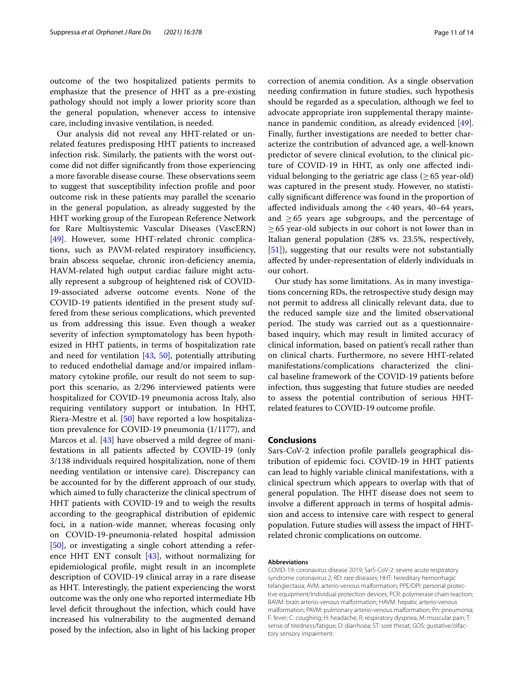outcome of the two hospitalized patients permits to emphasize that the presence of HHT as a pre-existing pathology should not imply a lower priority score than the general population, whenever access to intensive care, including invasive ventilation, is needed.

Our analysis did not reveal any HHT-related or unrelated features predisposing HHT patients to increased infection risk. Similarly, the patients with the worst outcome did not difer signifcantly from those experiencing a more favorable disease course. These observations seem to suggest that susceptibility infection profle and poor outcome risk in these patients may parallel the scenario in the general population, as already suggested by the HHT working group of the European Reference Network for Rare Multisystemic Vascular Diseases (VascERN) [[49\]](#page-13-0). However, some HHT-related chronic complications, such as PAVM-related respiratory insufficiency, brain abscess sequelae, chronic iron-defciency anemia, HAVM-related high output cardiac failure might actually represent a subgroup of heightened risk of COVID-19-associated adverse outcome events. None of the COVID-19 patients identifed in the present study suffered from these serious complications, which prevented us from addressing this issue. Even though a weaker severity of infection symptomatology has been hypothesized in HHT patients, in terms of hospitalization rate and need for ventilation  $[43, 50]$  $[43, 50]$  $[43, 50]$ , potentially attributing to reduced endothelial damage and/or impaired infammatory cytokine profle, our result do not seem to support this scenario, as 2/296 interviewed patients were hospitalized for COVID-19 pneumonia across Italy, also requiring ventilatory support or intubation. In HHT, Riera-Mestre et al. [\[50](#page-13-1)] have reported a low hospitalization prevalence for COVID-19 pneumonia (1/1177), and Marcos et al. [[43\]](#page-12-25) have observed a mild degree of manifestations in all patients afected by COVID-19 (only 3/138 individuals required hospitalization, none of them needing ventilation or intensive care). Discrepancy can be accounted for by the diferent approach of our study, which aimed to fully characterize the clinical spectrum of HHT patients with COVID-19 and to weigh the results according to the geographical distribution of epidemic foci, in a nation-wide manner, whereas focusing only on COVID-19-pneumonia-related hospital admission [[50\]](#page-13-1), or investigating a single cohort attending a reference HHT ENT consult [\[43](#page-12-25)], without normalizing for epidemiological profle, might result in an incomplete description of COVID-19 clinical array in a rare disease as HHT. Interestingly, the patient experiencing the worst outcome was the only one who reported intermediate Hb level deficit throughout the infection, which could have increased his vulnerability to the augmented demand posed by the infection, also in light of his lacking proper correction of anemia condition. As a single observation needing confrmation in future studies, such hypothesis should be regarded as a speculation, although we feel to advocate appropriate iron supplemental therapy maintenance in pandemic condition, as already evidenced [\[49](#page-13-0)]. Finally, further investigations are needed to better characterize the contribution of advanced age, a well-known predictor of severe clinical evolution, to the clinical picture of COVID-19 in HHT, as only one afected individual belonging to the geriatric age class ( $\geq 65$  year-old) was captured in the present study. However, no statistically signifcant diference was found in the proportion of afected individuals among the <40 years, 40–64 years, and  $\geq 65$  years age subgroups, and the percentage of  $\geq$  65 year-old subjects in our cohort is not lower than in Italian general population (28% vs. 23.5%, respectively, [[51\]](#page-13-2)), suggesting that our results were not substantially afected by under-representation of elderly individuals in our cohort.

Our study has some limitations. As in many investigations concerning RDs, the retrospective study design may not permit to address all clinically relevant data, due to the reduced sample size and the limited observational period. The study was carried out as a questionnairebased inquiry, which may result in limited accuracy of clinical information, based on patient's recall rather than on clinical charts. Furthermore, no severe HHT-related manifestations/complications characterized the clinical baseline framework of the COVID-19 patients before infection, thus suggesting that future studies are needed to assess the potential contribution of serious HHTrelated features to COVID-19 outcome profle.

## **Conclusions**

Sars-CoV-2 infection profle parallels geographical distribution of epidemic foci. COVID-19 in HHT patients can lead to highly variable clinical manifestations, with a clinical spectrum which appears to overlap with that of general population. The HHT disease does not seem to involve a diferent approach in terms of hospital admission and access to intensive care with respect to general population. Future studies will assess the impact of HHTrelated chronic complications on outcome.

#### **Abbreviations**

COVID-19: coronavirus disease 2019; SarS-CoV-2: severe acute respiratory syndrome coronavirus 2; RD: rare diseases; HHT: hereditary hemorrhagic telangiectasia; AVM: arterio-venous malformation; PPE/DPI: personal protective equipment/individual protection devices; PCR: polymerase chain reaction; BAVM: brain arterio-venous malformation; HAVM: hepatic arterio-venous malformation; PAVM: pulmonary arterio-venous malformation; Pn: pneumonia; F: fever; C: coughing; H: headache; R: respiratory dyspnea; M: muscular pain; T: sense of tiredness/fatigue; D: diarrhoea; ST: sore throat; GOS: gustative/olfactory sensory impairment.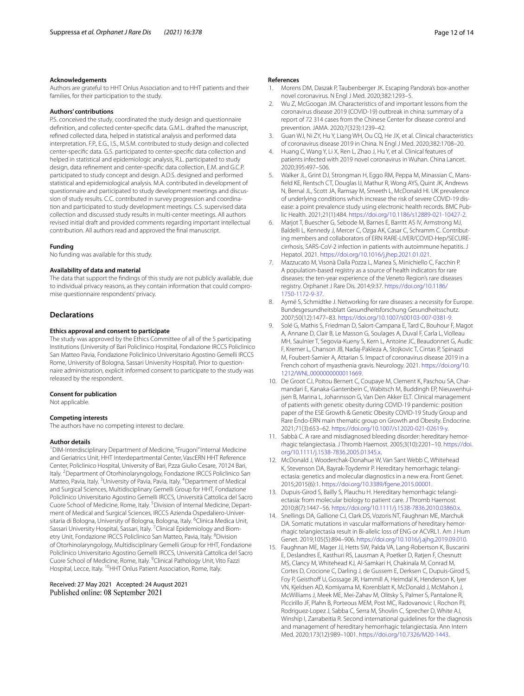#### **Acknowledgements**

Authors are grateful to HHT Onlus Association and to HHT patients and their families, for their participation to the study.

#### **Authors' contributions**

P.S. conceived the study, coordinated the study design and questionnaire defnition, and collected center-specifc data. G.M.L. drafted the manuscript, refned collected data, helped in statistical analysis and performed data interpretation. F.P., E.G., I.S., M.S.M. contributed to study design and collected center-specifc data. G.S. participated to center-specifc data collection and helped in statistical and epidemiologic analysis, R.L. participated to study design, data refnement and center-specifc data collection, E.M. and G.C.P. participated to study concept and design. A.D.S. designed and performed statistical and epidemiological analysis. M.A. contributed in development of questionnaire and participated to study development meetings and discussion of study results. C.C. contributed in survey progression and coordination and participated to study development meetings. C.S. supervised data collection and discussed study results in multi-center meetings. All authors revised initial draft and provided comments regarding important intellectual contribution. All authors read and approved the fnal manuscript.

#### **Funding**

No funding was available for this study.

## **Availability of data and material**

The data that support the fndings of this study are not publicly available, due to individual privacy reasons, as they contain information that could compromise questionnaire respondents' privacy.

## **Declarations**

#### **Ethics approval and consent to participate**

The study was approved by the Ethics Committee of all of the 5 participating Institutions (University of Bari Policlinico Hospital, Fondazione IRCCS Policlinico San Matteo Pavia, Fondazione Policlinico Universitario Agostino Gemelli IRCCS Rome, University of Bologna, Sassari University Hospital). Prior to questionnaire administration, explicit informed consent to participate to the study was released by the respondent.

#### **Consent for publication**

Not applicable.

#### **Competing interests**

The authors have no competing interest to declare.

#### **Author details**

<sup>1</sup> DIM-Interdisciplinary Department of Medicine, "Frugoni" Internal Medicine and Geriatrics Unit, HHT Interdepartmental Center, VascERN HHT Reference Center, Policlinico Hospital, University of Bari, P.zza Giulio Cesare, 70124 Bari, Italy. <sup>2</sup> Department of Otorhinolaryngology, Fondazione IRCCS Policlinico San Matteo, Pavia, Italy. <sup>3</sup> University of Pavia, Pavia, Italy. <sup>4</sup> Department of Medical and Surgical Sciences, Multidisciplinary Gemelli Group for HHT, Fondazione Policlinico Universitario Agostino Gemelli IRCCS, Università Cattolica del Sacro Cuore School of Medicine, Rome, Italy. <sup>5</sup> Division of Internal Medicine, Department of Medical and Surgical Sciences, IRCCS Azienda Ospedaliero-Universitaria di Bologna, University of Bologna, Bologna, Italy. <sup>6</sup>Clinica Medica Unit, Sassari University Hospital, Sassari, Italy. <sup>7</sup> Clinical Epidemiology and Biometry Unit, Fondazione IRCCS Policlinico San Matteo, Pavia, Italy. <sup>8</sup>Division of Otorhinolaryngology, Multidisciplinary Gemelli Group for HHT, Fondazione Policlinico Universitario Agostino Gemelli IRCCS, Università Cattolica del Sacro Cuore School of Medicine, Rome, Italy. <sup>9</sup>Clinical Pathology Unit, Vito Fazzi Hospital, Lecce, Italy. <sup>10</sup>HHT Onlus Patient Association, Rome, Italy.

Received: 27 May 2021 Accepted: 24 August 2021 Published online: 08 September 2021

#### **References**

- <span id="page-11-0"></span>1. Morens DM, Daszak P, Taubenberger JK. Escaping Pandora's box-another novel coronavirus. N Engl J Med. 2020;382:1293–5.
- <span id="page-11-1"></span>2. Wu Z, McGoogan JM. Characteristics of and important lessons from the coronavirus disease 2019 (COVID-19) outbreak in china: summary of a report of 72 314 cases from the Chinese Center for disease control and prevention. JAMA. 2020;7(323):1239–42.
- <span id="page-11-2"></span>3. Guan WJ, Ni ZY, Hu Y, Liang WH, Ou CQ, He JX, et al. Clinical characteristics of coronavirus disease 2019 in China. N Engl J Med. 2020;382:1708–20.
- <span id="page-11-3"></span>4. Huang C, Wang Y, Li X, Ren L, Zhao J, Hu Y, et al. Clinical features of patients infected with 2019 novel coronavirus in Wuhan. China Lancet. 2020;395:497–506.
- <span id="page-11-4"></span>5. Walker JL, Grint DJ, Strongman H, Eggo RM, Peppa M, Minassian C, Mansfeld KE, Rentsch CT, Douglas IJ, Mathur R, Wong AYS, Quint JK, Andrews N, Bernal JL, Scott JA, Ramsay M, Smeeth L, McDonald HI. UK prevalence of underlying conditions which increase the risk of severe COVID-19 disease: a point prevalence study using electronic health records. BMC Public Health. 2021;21(1):484. <https://doi.org/10.1186/s12889-021-10427-2>.
- <span id="page-11-5"></span>6. Marjot T, Buescher G, Sebode M, Barnes E, Barritt AS IV, Armstrong MJ, Baldelli L, Kennedy J, Mercer C, Ozga AK, Casar C, Schramm C. Contributing members and collaborators of ERN RARE-LIVER/COVID-Hep/SECUREcirrhosis, SARS-CoV-2 infection in patients with autoimmune hepatitis. J Hepatol. 2021. [https://doi.org/10.1016/j.jhep.2021.01.021.](https://doi.org/10.1016/j.jhep.2021.01.021)
- <span id="page-11-6"></span>7. Mazzucato M, Visonà Dalla Pozza L, Manea S, Minichiello C, Facchin P. A population-based registry as a source of health indicators for rare diseases: the ten-year experience of the Veneto Region's rare diseases registry. Orphanet J Rare Dis. 2014;9:37. [https://doi.org/10.1186/](https://doi.org/10.1186/1750-1172-9-37) [1750-1172-9-37.](https://doi.org/10.1186/1750-1172-9-37)
- <span id="page-11-7"></span>8. Aymé S, Schmidtke J. Networking for rare diseases: a necessity for Europe. Bundesgesundheitsblatt Gesundheitsforschung Gesundheitsschutz. 2007;50(12):1477–83.<https://doi.org/10.1007/s00103-007-0381-9>.
- <span id="page-11-8"></span>9. Solé G, Mathis S, Friedman D, Salort-Campana E, Tard C, Bouhour F, Magot A, Annane D, Clair B, Le Masson G, Soulages A, Duval F, Carla L, Violleau MH, Saulnier T, Segovia-Kueny S, Kern L, Antoine JC, Beaudonnet G, Audic F, Kremer L, Chanson JB, Nadaj-Pakleza A, Stojkovic T, Cintas P, Spinazzi M, Foubert-Samier A, Attarian S. Impact of coronavirus disease 2019 in a French cohort of myasthenia gravis. Neurology. 2021. [https://doi.org/10.](https://doi.org/10.1212/WNL.0000000000011669) [1212/WNL.0000000000011669](https://doi.org/10.1212/WNL.0000000000011669).
- <span id="page-11-9"></span>10. De Groot CJ, Poitou Bernert C, Coupaye M, Clement K, Paschou SA, Charmandari E, Kanaka-Gantenbein C, Wabitsch M, Buddingh EP, Nieuwenhuijsen B, Marina L, Johannsson G, Van Den Akker ELT. Clinical management of patients with genetic obesity during COVID-19 pandemic: position paper of the ESE Growth & Genetic Obesity COVID-19 Study Group and Rare Endo-ERN main thematic group on Growth and Obesity. Endocrine. 2021;71(3):653–62. [https://doi.org/10.1007/s12020-021-02619-y.](https://doi.org/10.1007/s12020-021-02619-y)
- <span id="page-11-10"></span>11. Sabbà C. A rare and misdiagnosed bleeding disorder: hereditary hemorrhagic telangiectasia. J Thromb Haemost. 2005;3(10):2201–10. [https://doi.](https://doi.org/10.1111/j.1538-7836.2005.01345.x) [org/10.1111/j.1538-7836.2005.01345.x.](https://doi.org/10.1111/j.1538-7836.2005.01345.x)
- <span id="page-11-11"></span>12. McDonald J, Wooderchak-Donahue W, Van Sant Webb C, Whitehead K, Stevenson DA, Bayrak-Toydemir P. Hereditary hemorrhagic telangiectasia: genetics and molecular diagnostics in a new era. Front Genet. 2015;2015(6):1. <https://doi.org/10.3389/fgene.2015.00001>.
- <span id="page-11-12"></span>13. Dupuis-Girod S, Bailly S, Plauchu H. Hereditary hemorrhagic telangiectasia: from molecular biology to patient care. J Thromb Haemost. 2010;8(7):1447–56. <https://doi.org/10.1111/j.1538-7836.2010.03860.x>.
- <span id="page-11-13"></span>14. Snellings DA, Gallione CJ, Clark DS, Vozoris NT, Faughnan ME, Marchuk DA. Somatic mutations in vascular malformations of hereditary hemorrhagic telangiectasia result in Bi-allelic loss of ENG or ACVRL1. Am J Hum Genet. 2019;105(5):894–906. <https://doi.org/10.1016/j.ajhg.2019.09.010>.
- <span id="page-11-14"></span>15. Faughnan ME, Mager JJ, Hetts SW, Palda VA, Lang-Robertson K, Buscarini E, Deslandres E, Kasthuri RS, Lausman A, Poetker D, Ratjen F, Chesnutt MS, Clancy M, Whitehead KJ, Al-Samkari H, Chakinala M, Conrad M, Cortes D, Crocione C, Darling J, de Gussem E, Derksen C, Dupuis-Girod S, Foy P, Geisthoff U, Gossage JR, Hammill A, Heimdal K, Henderson K, Iyer VN, Kjeldsen AD, Komiyama M, Korenblatt K, McDonald J, McMahon J, McWilliams J, Meek ME, Mei-Zahav M, Olitsky S, Palmer S, Pantalone R, Piccirillo JF, Plahn B, Porteous MEM, Post MC, Radovanovic I, Rochon PJ, Rodriguez-Lopez J, Sabba C, Serra M, Shovlin C, Sprecher D, White AJ, Winship I, Zarrabeitia R. Second international guidelines for the diagnosis and management of hereditary hemorrhagic telangiectasia. Ann Intern Med. 2020;173(12):989–1001. [https://doi.org/10.7326/M20-1443.](https://doi.org/10.7326/M20-1443)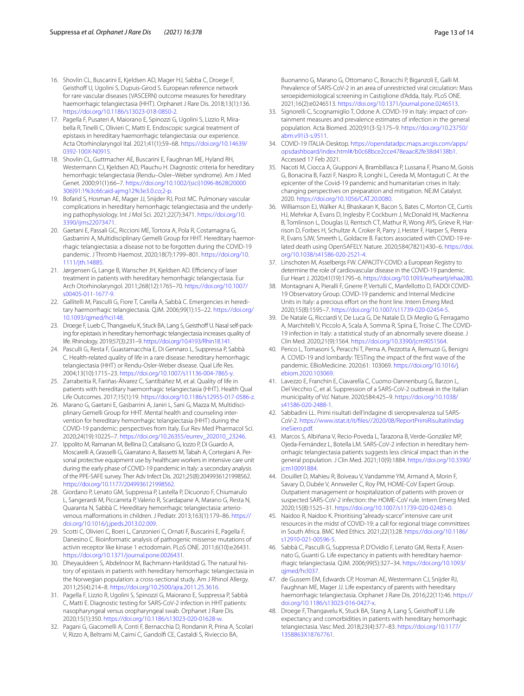- <span id="page-12-0"></span>16. Shovlin CL, Buscarini E, Kjeldsen AD, Mager HJ, Sabba C, Droege F, Geisthoff U, Ugolini S, Dupuis-Girod S. European reference network for rare vascular diseases (VASCERN) outcome measures for hereditary haemorrhagic telangiectasia (HHT). Orphanet J Rare Dis. 2018;13(1):136. [https://doi.org/10.1186/s13023-018-0850-2.](https://doi.org/10.1186/s13023-018-0850-2)
- <span id="page-12-1"></span>17. Pagella F, Pusateri A, Maiorano E, Spinozzi G, Ugolini S, Lizzio R, Mirabella R, Tinelli C, Olivieri C, Matti E. Endoscopic surgical treatment of epistaxis in hereditary haemorrhagic telangiectasia: our experience. Acta Otorhinolaryngol Ital. 2021;41(1):59–68. [https://doi.org/10.14639/](https://doi.org/10.14639/0392-100X-N0915) [0392-100X-N0915](https://doi.org/10.14639/0392-100X-N0915).
- <span id="page-12-2"></span>18. Shovlin CL, Guttmacher AE, Buscarini E, Faughnan ME, Hyland RH, Westermann CJ, Kjeldsen AD, Plauchu H. Diagnostic criteria for hereditary hemorrhagic telangiectasia (Rendu–Osler–Weber syndrome). Am J Med Genet. 2000;91(1):66–7. [https://doi.org/10.1002/\(sici\)1096-8628\(20000](https://doi.org/10.1002/(sici)1096-8628(20000306)91:1%3c66::aid-ajmg12%3e3.0.co;2-p) [306\)91:1%3c66::aid-ajmg12%3e3.0.co;2-p.](https://doi.org/10.1002/(sici)1096-8628(20000306)91:1%3c66::aid-ajmg12%3e3.0.co;2-p)
- <span id="page-12-3"></span>19. Bofarid S, Hosman AE, Mager JJ, Snijder RJ, Post MC. Pulmonary vascular complications in hereditary hemorrhagic telangiectasia and the underlying pathophysiology. Int J Mol Sci. 2021;22(7):3471. [https://doi.org/10.](https://doi.org/10.3390/ijms22073471) [3390/ijms22073471](https://doi.org/10.3390/ijms22073471).
- <span id="page-12-4"></span>20. Gaetani E, Passali GC, Riccioni ME, Tortora A, Pola R, Costamagna G, Gasbarrini A, Multidisciplinary Gemelli Group for HHT. Hereditary haemorrhagic telangiectasia: a disease not to be forgotten during the COVID-19 pandemic. J Thromb Haemost. 2020;18(7):1799–801. [https://doi.org/10.](https://doi.org/10.1111/jth.14885) [1111/jth.14885.](https://doi.org/10.1111/jth.14885)
- <span id="page-12-5"></span>21. Jørgensen G, Lange B, Wanscher JH, Kjeldsen AD. Efficiency of laser treatment in patients with hereditary hemorrhagic telangiectasia. Eur Arch Otorhinolaryngol. 2011;268(12):1765–70. [https://doi.org/10.1007/](https://doi.org/10.1007/s00405-011-1677-9) [s00405-011-1677-9.](https://doi.org/10.1007/s00405-011-1677-9)
- 22. Gallitelli M, Pasculli G, Fiore T, Carella A, Sabbà C. Emergencies in hereditary haemorrhagic telangiectasia. QJM. 2006;99(1):15–22. [https://doi.org/](https://doi.org/10.1093/qjmed/hci148) [10.1093/qjmed/hci148.](https://doi.org/10.1093/qjmed/hci148)
- <span id="page-12-6"></span>23. Droege F, Lueb C, Thangavelu K, Stuck BA, Lang S, Geisthoff U. Nasal self-packing for epistaxis in hereditary hemorrhagic telangiectasia increases quality of life. Rhinology. 2019;57(3):231–9. [https://doi.org/10.4193/Rhin18.141.](https://doi.org/10.4193/Rhin18.141)
- <span id="page-12-7"></span>24. Pasculli G, Resta F, Guastamacchia E, Di Gennaro L, Suppressa P, Sabbà C. Health-related quality of life in a rare disease: hereditary hemorrhagic telangiectasia (HHT) or Rendu-Osler-Weber disease. Qual Life Res. 2004;13(10):1715–23.<https://doi.org/10.1007/s11136-004-7865-y>.
- <span id="page-12-8"></span>25. Zarrabeitia R, Fariñas-Álvarez C, Santibáñez M, et al. Quality of life in patients with hereditary haemorrhagic telangiectasia (HHT). Health Qual Life Outcomes. 2017;15(1):19. [https://doi.org/10.1186/s12955-017-0586-z.](https://doi.org/10.1186/s12955-017-0586-z)
- <span id="page-12-9"></span>26. Marano G, Gaetani E, Gasbarrini A, Janiri L, Sani G, Mazza M, Multidisciplinary Gemelli Group for HHT. Mental health and counseling intervention for hereditary hemorrhagic telangiectasia (HHT) during the COVID-19 pandemic: perspectives from Italy. Eur Rev Med Pharmacol Sci. 2020;24(19):10225–7. [https://doi.org/10.26355/eurrev\\_202010\\_23246.](https://doi.org/10.26355/eurrev_202010_23246)
- <span id="page-12-10"></span>27. Ippolito M, Ramanan M, Bellina D, Catalisano G, Iozzo P, Di Guardo A, Moscarelli A, Grasselli G, Giarratano A, Bassetti M, Tabah A, Cortegiani A. Personal protective equipment use by healthcare workers in intensive care unit during the early phase of COVID-19 pandemic in Italy: a secondary analysis of the PPE-SAFE survey. Ther Adv Infect Dis. 2021;25(8):2049936121998562. [https://doi.org/10.1177/2049936121998562.](https://doi.org/10.1177/2049936121998562)
- <span id="page-12-11"></span>28. Giordano P, Lenato GM, Suppressa P, Lastella P, Dicuonzo F, Chiumarulo L, Sangerardi M, Piccarreta P, Valerio R, Scardapane A, Marano G, Resta N, Quaranta N, Sabbà C. Hereditary hemorrhagic telangiectasia: arteriovenous malformations in children. J Pediatr. 2013;163(1):179–86. [https://](https://doi.org/10.1016/j.jpeds.2013.02.009) [doi.org/10.1016/j.jpeds.2013.02.009](https://doi.org/10.1016/j.jpeds.2013.02.009).
- 29. Scotti C, Olivieri C, Boeri L, Canzonieri C, Ornati F, Buscarini E, Pagella F, Danesino C. Bioinformatic analysis of pathogenic missense mutations of activin receptor like kinase 1 ectodomain. PLoS ONE. 2011;6(10):e26431. <https://doi.org/10.1371/journal.pone.0026431>.
- <span id="page-12-12"></span>30. Dheyauldeen S, Abdelnoor M, Bachmann-Harildstad G. The natural history of epistaxis in patients with hereditary hemorrhagic telangiectasia in the Norwegian population: a cross-sectional study. Am J Rhinol Allergy. 2011;25(4):214–8.<https://doi.org/10.2500/ajra.2011.25.3616>.
- <span id="page-12-13"></span>31. Pagella F, Lizzio R, Ugolini S, Spinozzi G, Maiorano E, Suppressa P, Sabbà C, Matti E. Diagnostic testing for SARS-CoV-2 infection in HHT patients: nasopharyngeal versus oropharyngeal swab. Orphanet J Rare Dis. 2020;15(1):350. [https://doi.org/10.1186/s13023-020-01628-w.](https://doi.org/10.1186/s13023-020-01628-w)
- <span id="page-12-14"></span>32. Pagani G, Giacomelli A, Conti F, Bernacchia D, Rondanin R, Prina A, Scolari V, Rizzo A, Beltrami M, Caimi C, Gandolf CE, Castaldi S, Rivieccio BA,

Buonanno G, Marano G, Ottomano C, Boracchi P, Biganzoli E, Galli M. Prevalence of SARS-CoV-2 in an area of unrestricted viral circulation: Mass seroepidemiological screening in Castiglione d'Adda, Italy. PLoS ONE. 2021;16(2):e0246513. [https://doi.org/10.1371/journal.pone.0246513.](https://doi.org/10.1371/journal.pone.0246513)

- <span id="page-12-15"></span>33. Signorelli C, Scognamiglio T, Odone A. COVID-19 in Italy: impact of containment measures and prevalence estimates of infection in the general population. Acta Biomed. 2020;91(3-S):175–9. [https://doi.org/10.23750/](https://doi.org/10.23750/abm.v91i3-s.9511) [abm.v91i3-s.9511.](https://doi.org/10.23750/abm.v91i3-s.9511)
- <span id="page-12-16"></span>34. COVID-19 ITALIA-Desktop. [https://opendatadpc.maps.arcgis.com/apps/](https://opendatadpc.maps.arcgis.com/apps/opsdashboard/index.html#/b0c68bce2cce478eaac82fe38d4138b1) [opsdashboard/index.html#/b0c68bce2cce478eaac82fe38d4138b1](https://opendatadpc.maps.arcgis.com/apps/opsdashboard/index.html#/b0c68bce2cce478eaac82fe38d4138b1). Accessed 17 Feb 2021.
- <span id="page-12-17"></span>35. Nacoti M, Ciocca A, Giupponi A, Brambillasca P, Lussana F, Pisano M, Goisis G, Bonacina B, Fazzi F, Naspro R, Longhi L, Cereda M, Montaguti C. At the epicenter of the Covid-19 pandemic and humanitarian crises in Italy: changing perspectives on preparation and mitigation. NEJM Catalyst. 2020. [https://doi.org/10.1056/CAT.20.0080.](https://doi.org/10.1056/CAT.20.0080)
- <span id="page-12-18"></span>36. Williamson EJ, Walker AJ, Bhaskaran K, Bacon S, Bates C, Morton CE, Curtis HJ, Mehrkar A, Evans D, Inglesby P, Cockburn J, McDonald HI, MacKenna B, Tomlinson L, Douglas IJ, Rentsch CT, Mathur R, Wong AYS, Grieve R, Harrison D, Forbes H, Schultze A, Croker R, Parry J, Hester F, Harper S, Perera R, Evans SJW, Smeeth L, Goldacre B. Factors associated with COVID-19-related death using OpenSAFELY. Nature. 2020;584(7821):430–6. [https://doi.](https://doi.org/10.1038/s41586-020-2521-4) [org/10.1038/s41586-020-2521-4.](https://doi.org/10.1038/s41586-020-2521-4)
- <span id="page-12-19"></span>37. Linschoten M, Asselbergs FW. CAPACITY-COVID: a European Registry to determine the role of cardiovascular disease in the COVID-19 pandemic. Eur Heart J. 2020;41(19):1795–6.<https://doi.org/10.1093/eurheartj/ehaa280>.
- <span id="page-12-20"></span>38. Montagnani A, Pieralli F, Gnerre P, Vertulli C, Manfellotto D, FADOI COVID-19 Observatory Group. COVID-19 pandemic and Internal Medicine Units in Italy: a precious effort on the front line. Intern Emerg Med. 2020;15(8):1595–7. [https://doi.org/10.1007/s11739-020-02454-5.](https://doi.org/10.1007/s11739-020-02454-5)
- <span id="page-12-21"></span>39. De Natale G, Ricciardi V, De Luca G, De Natale D, Di Meglio G, Ferragamo A, Marchitelli V, Piccolo A, Scala A, Somma R, Spina E, Troise C. The COVID-19 infection in Italy: a statistical study of an abnormally severe disease. J Clin Med. 2020;21(9):1564. [https://doi.org/10.3390/jcm9051564.](https://doi.org/10.3390/jcm9051564)
- <span id="page-12-22"></span>40. Perico L, Tomasoni S, Peracchi T, Perna A, Pezzotta A, Remuzzi G, Benigni A. COVID-19 and lombardy: TESTing the impact of the frst wave of the pandemic. EBioMedicine. 2020;61: 103069. [https://doi.org/10.1016/j.](https://doi.org/10.1016/j.ebiom.2020.103069) [ebiom.2020.103069](https://doi.org/10.1016/j.ebiom.2020.103069).
- <span id="page-12-23"></span>41. Lavezzo E, Franchin E, Ciavarella C, Cuomo-Dannenburg G, Barzon L, Del Vecchio C, et al. Suppression of a SARS-CoV-2 outbreak in the Italian municipality of Vo'. Nature. 2020;584:425–9. [https://doi.org/10.1038/](https://doi.org/10.1038/s41586-020-2488-1) [s41586-020-2488-1.](https://doi.org/10.1038/s41586-020-2488-1)
- <span id="page-12-24"></span>42. Sabbadini LL. Primi risultati dell'indagine di sieroprevalenza sul SARS-CoV-2. [https://www.istat.it/it/fles//2020/08/ReportPrimiRisultatiIndag](https://www.istat.it/it/files//2020/08/ReportPrimiRisultatiIndagineSiero.pdf) [ineSiero.pdf.](https://www.istat.it/it/files//2020/08/ReportPrimiRisultatiIndagineSiero.pdf)
- <span id="page-12-25"></span>43. Marcos S, Albiñana V, Recio-Poveda L, Tarazona B, Verde-González MP, Ojeda-Fernández L, Botella LM. SARS-CoV-2 infection in hereditary hemorrhagic telangiectasia patients suggests less clinical impact than in the general population. J Clin Med. 2021;10(9):1884. [https://doi.org/10.3390/](https://doi.org/10.3390/jcm10091884) [jcm10091884](https://doi.org/10.3390/jcm10091884).
- <span id="page-12-26"></span>44. Douillet D, Mahieu R, Boiveau V, Vandamme YM, Armand A, Morin F, Savary D, Dubée V, Annweiler C, Roy PM, HOME-CoV Expert Group. Outpatient management or hospitalization of patients with proven or suspected SARS-CoV-2 infection: the HOME-CoV rule. Intern Emerg Med. 2020;15(8):1525–31. <https://doi.org/10.1007/s11739-020-02483-0>.
- <span id="page-12-27"></span>45. Naidoo R, Naidoo K. Prioritising "already-scarce" intensive care unit resources in the midst of COVID-19: a call for regional triage committees in South Africa. BMC Med Ethics. 2021;22(1):28. [https://doi.org/10.1186/](https://doi.org/10.1186/s12910-021-00596-5) [s12910-021-00596-5](https://doi.org/10.1186/s12910-021-00596-5).
- <span id="page-12-28"></span>46. Sabbà C, Pasculli G, Suppressa P, D'Ovidio F, Lenato GM, Resta F, Assennato G, Guanti G. Life expectancy in patients with hereditary haemorrhagic telangiectasia. QJM. 2006;99(5):327–34. [https://doi.org/10.1093/](https://doi.org/10.1093/qjmed/hcl037) qimed/hcl037
- 47. de Gussem EM, Edwards CP, Hosman AE, Westermann CJ, Snijder RJ, Faughnan ME, Mager JJ. Life expextancy of parents with hereditary haemorrhagic telangiectasia. Orphanet J Rare Dis. 2016;22(11):46. [https://](https://doi.org/10.1186/s13023-016-0427-x) [doi.org/10.1186/s13023-016-0427-x](https://doi.org/10.1186/s13023-016-0427-x).
- <span id="page-12-29"></span>48. Droege F, Thangavelu K, Stuck BA, Stang A, Lang S, Geisthoff U. Life expectancy and comorbidities in patients with hereditary hemorrhagic telangiectasia. Vasc Med. 2018;23(4):377–83. [https://doi.org/10.1177/](https://doi.org/10.1177/1358863X18767761) [1358863X18767761.](https://doi.org/10.1177/1358863X18767761)